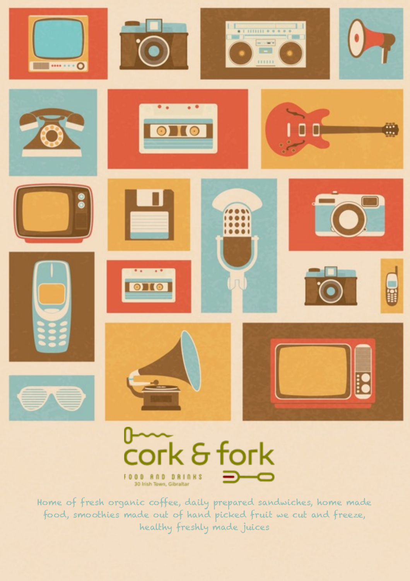



Home of fresh organic coffee, daily prepared sandwiches, home made food, smoothies made out of hand picked fruit we cut and freeze, healthy freshly made juices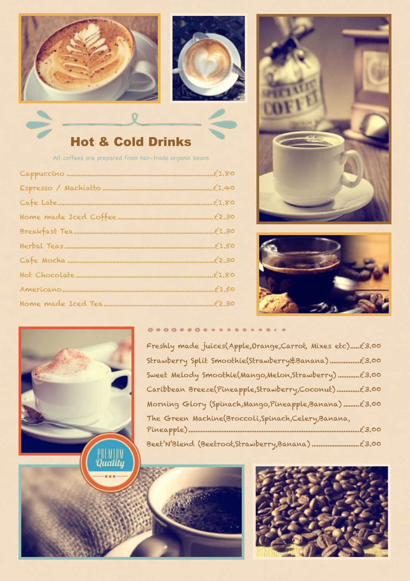



## Hot & Cold Drinks

All coffees are prepared from fair-trade organic beans

| Breakfast Teammmmmmmmmmmmmmmmmmmmmmmmmmmmmmmmt1.30 |  |
|----------------------------------------------------|--|
|                                                    |  |
|                                                    |  |
|                                                    |  |
|                                                    |  |
|                                                    |  |







## $0000000000000000000000$

Freshly made juices(Apple, Orange, Carrot, Mixes etc)......£3.00 Strawberry Split Smoothie(Strawberry&Banana) £3.00 ................. Sweet Melody Smoothie(Mango,Melon,Strawberry) £3.00 ............ Caribbean Breeze(Pineapple,Strawberry,Coconut) £3.00 ............. Morning Glory (Spinach,Mango,Pineapple,Banana) ...........£3.00 The Green Machine(Broccoli,Spinach,Celery,Banana, Pineapple) £3.00 .................................................................................................. Beet'N'Blend (Beetroot,Strawberry,Banana) £3.00 ...........................



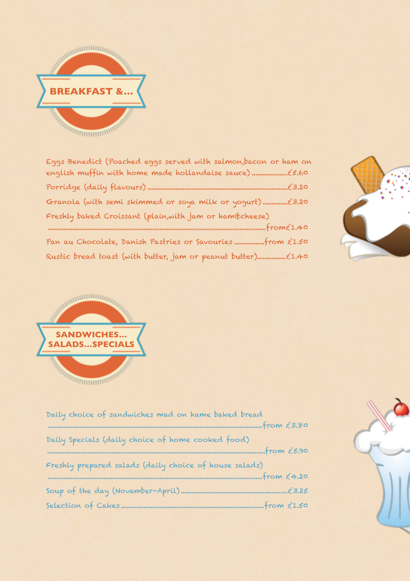

| Eggs Benedict (Poached eggs served with salmon,bacon or ham on |
|----------------------------------------------------------------|
|                                                                |
|                                                                |
| Freshly baked Croissant (plain, with jam or ham&cheese)        |
|                                                                |
|                                                                |





| Daily choice of sandwiches mad on hame baked bread<br>www.www.www.www.from £3,80 |  |
|----------------------------------------------------------------------------------|--|
| Daily Specials (daily choice of home cooked food)                                |  |
| $$ from $£5.90$                                                                  |  |
| Freshly prepared salads (daily choice of house salads)                           |  |
|                                                                                  |  |
|                                                                                  |  |
| $from \t{£1,50}$                                                                 |  |